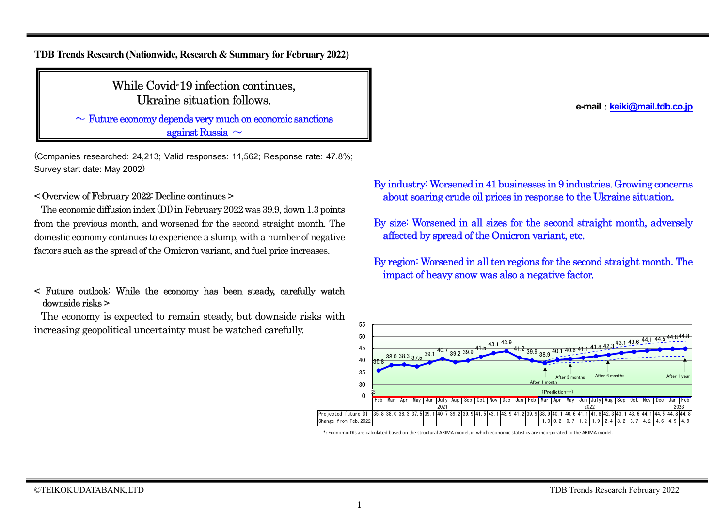**TDB Trends Research (Nationwide, Research & Summary for February 2022)**

### While Covid-19 infection continues, Ukraine situation follows.

 $\sim$  Future economy depends very much on economic sanctions against Russia  $\sim$ 

(Companies researched: 24,213; Valid responses: 11,562; Response rate: 47.8%; Survey start date: May 2002)

#### < Overview of February 2022: Decline continues >

The economic diffusion index (DI) in February 2022 was 39.9, down 1.3 points from the previous month, and worsened for the second straight month. The domestic economy continues to experience a slump, with a number of negative factors such as the spread of the Omicron variant, and fuel price increases.

#### < Future outlook: While the economy has been steady, carefully watch downside risks >

The economy is expected to remain steady, but downside risks with increasing geopolitical uncertainty must be watched carefully.

**e-mail**:**keiki@mail.tdb.co.jp**

- By industry:Worsened in 41 businesses in 9 industries. Growing concerns about soaring crude oil prices in response to the Ukraine situation.
- By size: Worsened in all sizes for the second straight month, adversely affected by spread of the Omicron variant, etc.
- By region: Worsened in all ten regions for the second straight month. The impact of heavy snow was also a negative factor.



 $\ast$ : Economic DIs are calculated based on the structural ARIMA model, in which economic statistics are incorporated to the ARIMA model.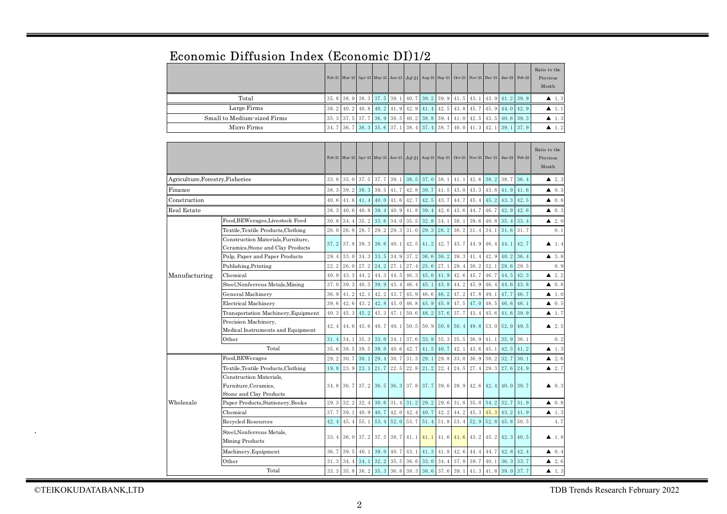# Economic Diffusion Index (Economic DI)1/2

|                             |  |  |  |                                                                                                       |  |  | Feb-21 Mar-21 Apr-21 May-21 Jun-21 Jul-21 Aug-21 Sep-21 Oct-21 Nov-21 Dec-21 Jan-22 Feb-22 | Ratio to the<br>Previous<br>Month |
|-----------------------------|--|--|--|-------------------------------------------------------------------------------------------------------|--|--|--------------------------------------------------------------------------------------------|-----------------------------------|
| Total                       |  |  |  | 35. 8   38. 0   38. 3   37. 5   39. 1   40. 7   39. 2   39. 9   41. 5   43. 1   43. 9   41. 2   39. 9 |  |  |                                                                                            | $\blacktriangle$ 1.3              |
| Large Firms                 |  |  |  |                                                                                                       |  |  | 38. 2 40. 2 40. 8 40. 2 41. 9 42. 9 41. 4 42. 5 43. 8 45. 7 45. 9 44. 0 42. 9              | $\blacktriangle$ 1.1              |
| Small to Medium-sized Firms |  |  |  |                                                                                                       |  |  | 35, 3 37, 5 37, 7 36, 9 38, 5 40, 2 38, 8 39, 4 41, 0 42, 5 43, 5 40, 6 39, 3              | $\blacktriangle$ 1.3              |
| Micro Firms                 |  |  |  |                                                                                                       |  |  | 34, 7 36, 7 36, 3 35, 6 37, 1 38, 4 37, 4 38, 7 40, 0 41, 3 42, 1 39, 1 37, 9              | $\blacktriangle$ 1.2              |

|                                     |                                                                                 |      |             |                |                          |           |             | Feb-21 Mar-21 Apr-21 May-21 Jun-21 Jul-21 Aug-21 Sep-21 Oct-21 Nov-21 Dec-21  |                |           |      |             | $Jan-22$  | Feb-22               | Ratio to the<br>Previous<br>Month |
|-------------------------------------|---------------------------------------------------------------------------------|------|-------------|----------------|--------------------------|-----------|-------------|-------------------------------------------------------------------------------|----------------|-----------|------|-------------|-----------|----------------------|-----------------------------------|
| Agriculture, Forestry, Fisheries    |                                                                                 | 33.8 |             | 35.0 37.5 37.7 |                          | 39.1      | 38.5        | 37.0                                                                          | 38.1           | 41.1      | 42.6 | 38.2        | 38.7      | 36.4                 | $\blacktriangle$ 2.3              |
| Finance                             |                                                                                 | 38.3 |             | 39.2 38.3 39.5 |                          |           | 41.7 42.8   | 39.7                                                                          | 41.5           | 43.0      | 43.3 | 43.8        | 41.9      | 41.6                 | $\blacktriangle$ 0.3              |
| Construction                        | 40.6                                                                            |      | $41.6$ 41.4 | 40.0           |                          | 41.6 42.7 | 42.5        | 43.7                                                                          | 44.7           | 45.4      | 45.2 | 43.3        | 42.5      | $\blacktriangle$ 0.8 |                                   |
| Real Estate                         |                                                                                 | 38.3 | 40.6        | $40.8$ 39.4    |                          | 40.9      | 41.8        | 39.4                                                                          | 42.6           | 43.6      | 44.7 | 46.7        | 42.9      | 42.6                 | $\blacktriangle$ 0.3              |
|                                     | Food, BEWerages, Livestock Feed                                                 | 30.8 | 34.4        | 35.2           | 33.6                     | 34.0      | 35.5        | 32.8                                                                          | 34.1           | 38.1      | 39.6 | 40.8        | 35.4      | 33.4                 | $\blacktriangle$ 2.0              |
| Textile, Textile Products, Clothing |                                                                                 | 26.0 | 26.8        | 28.7           | 29.2                     | 29.3      | 31.0        | 29.3                                                                          | 28.2           | 30.2      | 31.4 | 34.1        | 31.6      | 31.7                 | 0.1                               |
|                                     | Construction Materials, Furniture,<br>37.2<br>Ceramics, Stone and Clay Products |      | 37.8        | 39.3 38.6      |                          | 40.1      | 42.5        | 41.2                                                                          | 42.7           | 43.7      | 44.9 | 46.4        | 44.1      | 42.7                 | $\blacktriangle$ 1.4              |
|                                     | Pulp, Paper and Paper Products<br>29.4                                          |      | 33.0        | 34.3           | 33.5                     | 34.9      | 37.2        | 36.6                                                                          | 36.2           | 39.3      | 41.4 | 42.9        | 40.2      | 36.4                 | $\blacktriangle$ 3.8              |
|                                     | 22.2<br>Publishing, Printing                                                    |      | 26.0        | $27.2$ 24.2    |                          | 27.1      | 27.4        | 25.6                                                                          | 27.1           | 29.4      | 30.2 | 32.1        | 28.6      | 29.5                 | 0.9                               |
| Manufacturing                       | Chemical<br>40.9                                                                |      | 43.3        | 44.2           | 44.3                     | 44.5      | 46.3        | 45.0                                                                          | 41.9           | 42.6      | 45.7 | 46.7        | 44.5      | 42.3                 | $\blacktriangle$ 2.2              |
|                                     | Steel, Nonferrous Metals, Mining<br>37.0                                        |      | 39.3        | 40.5           | 39.9                     | 43.4      | 46.4        | 45.1                                                                          | 43.8           | 44.2      | 45.9 | 46.4        | 44.6      | 43.8                 | $\blacktriangle$ 0.8              |
|                                     | General Machinery                                                               | 36.9 | 41.2        | 42.1           | 42.2                     | 43.7      | 45.9        | 46.6                                                                          | 46.2           | 47.2      | 47.8 | 49.1        | 47.7      | 46.7                 | 1.0<br>▲                          |
|                                     | <b>Electrical Machinery</b>                                                     | 39.6 | 42.6        | 43.2           | 42.8                     | 45.0      | 46.8        | 45.9                                                                          | 45.8           | 47.5      | 47.0 | 48.5        | 46.6      | 46.1                 | $\blacktriangle$ 0.5              |
|                                     | Transportation Machinery, Equipment                                             | 40.3 | 45.3        | 45.2           | 45.3                     | 47.1      | 50.6        | 48.2                                                                          | 37.6           | 37.7      | 43.4 | 45.6        | 41.6      | 39.9                 | $\blacktriangle$ 1.7              |
|                                     | Precision Machinery,<br>Medical Instruments and Equipment                       | 42.4 |             | 44.6 45.6 48.7 |                          | 49.1      |             | $50.5$ 50.9 50.8                                                              |                | 50.4      |      | $49.8$ 53.0 | 52.0      | 49.5                 | $\blacktriangle$ 2.5              |
|                                     | Other                                                                           | 31.4 | 34.1        | 35.3           | 33.0                     | 34.1      | 37.6        | 33.9                                                                          | 35.3           | 35.5      | 36.9 | 41.1        | 35.9      | 36.1                 | 0.2                               |
|                                     | Total                                                                           | 35.6 |             | 38.5 39.5 39.0 |                          | 40.6      | 42.7        | 41.5                                                                          | 40.7           | 42.1      | 43.6 | 45.1        | 42.5      | 41.2                 | $\blacktriangle$ 1.3              |
|                                     | Food, BEWerages                                                                 | 29.2 | 30.7        | 30.1 29.4      |                          | 30.7      | 31.3        | 29.1                                                                          | 29.8           | 33.0      | 36.9 | 38.2        | 32.7      | 30.1                 | $\triangle$ 2.6                   |
|                                     | Textile, Textile Products, Clothing                                             | 19.8 | 23.9        | 23.1           | 21.7                     |           | $22.5$ 22.8 | 21.2                                                                          | 22.4           | 24.5      | 27.4 | 29.3        | 27.6      | 24.9                 | $\blacktriangle$ 2.7              |
|                                     | Construction Materials.<br>Furniture, Ceramics,<br>Stone and Clay Products      | 34.8 |             |                |                          |           |             | 36. 7 37. 2 36. 5 36. 3 37. 8 37. 7 39. 6 39. 9 42. 6 42. 4 40. 0 39. 7       |                |           |      |             |           |                      | $\triangle$ 0.3                   |
| Wholesale                           | Paper Products, Stationery, Books                                               | 29.3 | 32.2        | 32.4           | 30.6                     | 31.4      | 31.2        | 29.2                                                                          | 29.6           | 31.8      | 35.0 | 34.2        | 32.7      | 31.9                 | $\blacktriangle$ 0.8              |
|                                     | Chemical                                                                        | 37.7 | 39.1        | 40.9           | 40.7                     |           | 42.0 42.4   | 40.7                                                                          | 42.2           | 44.2      | 45.3 | 45.3        | 43.2 41.9 |                      | $\blacktriangle$ 1.3              |
|                                     | Recycled Resources                                                              | 42.4 | 45.4        | 55.1 53.4      |                          |           | 52.0 53.7   |                                                                               | 51.4 51.8 53.4 |           |      | 52.9 52.8   | 45.8      | 50.5                 | 4.7                               |
|                                     | Steel, Nonferrous Metals,<br>Mining Products                                    | 33.4 |             |                |                          |           |             | 36.0 37.2 37.5 38.7 41.1 41.1 41.6 41.6                                       |                |           | 43.2 | 45.2        | 42.3 40.5 |                      | $\blacktriangle$ 1.8              |
|                                     | Machinery, Equipment                                                            | 36.7 | 39.5        | 40.1           | 39.0                     | 40.7      | 43.1        | 41.3 41.8                                                                     |                | 42.6      | 44.4 | 44.7        | 42.8      | 42.4                 | 40.4                              |
|                                     | Other                                                                           | 31.3 | 34.4        |                | $34.1$ 32. 2 35. 5 36. 6 |           |             | 33.0 34.4                                                                     |                | 37.8 39.7 |      | 40.1        | 36.3      | 33.7                 | $\triangle$ 2.6                   |
|                                     | Total                                                                           |      |             |                |                          |           |             | 33. 3 35. 8 36. 2 35. 3 36. 8 38. 3 36. 6 37. 6 39. 1 41. 3 41. 8 39. 0 37. 7 |                |           |      |             |           |                      | $\blacktriangle$ 1.3              |

.

©TEIKOKUDATABANK,LTD TDB Trends Research February 2022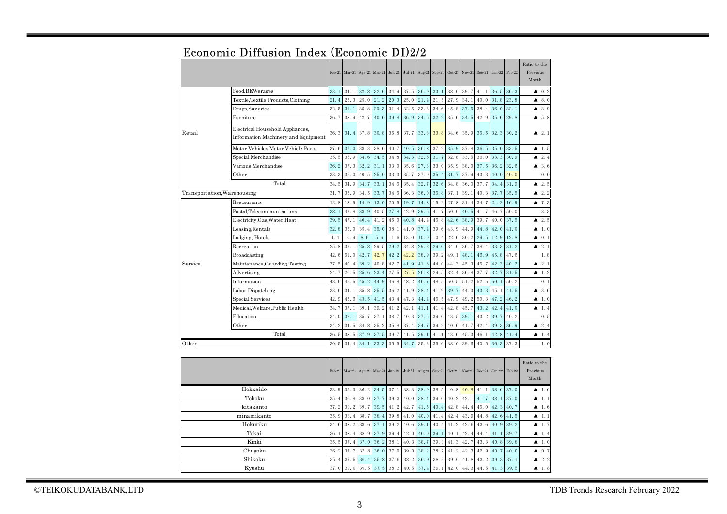|         |                                                                         | Feb-21       | $Mar-21$ |      | Apr-21 May-21 | $Jun-21$ | $Jul-21$                           | Aug-21        | $Sep-21$ | $Oct-21$                 | $Nov-21$ | $Dec-21$ | $Jan-22$ | Feb-22   | Ratio to the<br>Previous<br>Month |
|---------|-------------------------------------------------------------------------|--------------|----------|------|---------------|----------|------------------------------------|---------------|----------|--------------------------|----------|----------|----------|----------|-----------------------------------|
|         | Food, BEWerages                                                         | 33.1         | 34.1     | 32.8 | 32.6          | 34.9     | 37.5                               | 36.0          | 33.1     | 38.0                     | 39.7     | 41.1     | 36.5     | 36.3     | $\triangle$ 0.2                   |
|         | Textile, Textile Products, Clothing                                     | 21.4         | 23.3     | 25.0 | 21.2          | 20.3     | 25.0                               | 21.4          | 21.5     | 27.9                     | 34.1     | 40.0     | 31.8     | 23.8     | 8.0<br>▲                          |
|         | Drugs, Sundries                                                         | 32.5         | 31.1     | 35.8 | 29.3          | 31.4     | 32.5                               | 33.3          | 34.6     | 45.8                     | 37.5     | 38.4     | 36.0     | 32.1     | 3.9<br>▲                          |
|         | Furniture                                                               | 36.7         | 38.9     | 42.7 | 40.6          | 39.8     | 36.9                               | 34.6          | 32.2     | 35.6                     | 34.5     | 42.9     | 35.6     | 29.8     | 5.8<br>▲                          |
| Retail  | Electrical Household Appliances,<br>Information Machinery and Equipment | 36.3         | 34.4     | 37.8 | 30.8          | 35.8     | 37.7                               | 33.8          | 33.8     | 34.6                     | 35.9     | 35.5     | 32.3     | 30.2     | 2.1<br>▲                          |
|         | Motor Vehicles, Motor Vehicle Parts                                     | 37.6         | 37.0     | 38.3 | 38.6          | 40.7     | 40.5                               | 36.8          | 37.2     | 35.9                     | 37.8     | 36.5     | 35.0     | 33.5     | ▲<br>1.5                          |
|         | Special Merchandise                                                     | 35.5         | 35.9     | 34.6 | 34.5          | 34.8     | 34.3                               | 32.6          | 31.7     | 32.8                     | 33.5     | 36.0     | 33.3     | 30.9     | 2.4<br>▲                          |
|         | Various Merchandise                                                     | 36.2         | 37.3     | 32.2 | 31.1          | 33.0     | 35.6                               | 27.3          | 33.0     | 35.9                     | 38.0     | 37.5     | 36.2     | 32.6     | 3.6<br>▲                          |
|         | Other                                                                   | 33.3         | 35.0     | 40.5 | 25.0          | 33.3     | 35.7                               | 37.0          | 35.4     | 31.7                     | 37.9     | 43.3     | 40.0     | 40.0     | 0.0                               |
|         | Total                                                                   | 34.5         | 34.9     | 34.7 | 33.1          | 34.5     | 35.4                               | 32.7          | 32.6     | 34.8                     | 36.0     | 37.7     | 34.4     | 31.9     | 2.5<br>▲                          |
|         | Transportation, Warehousing                                             | 31.7         | 33.9     | 34.5 | 33.7          | 34.5     | 36.3                               | 36.0          | 35.8     | 37.1                     | 39.1     | 40.3     | 37.7     | 35.5     | 2.2<br>▲                          |
|         | Restaurants                                                             | 12.8         | 18.9     | 14.9 | 13.0          | 20.5     | 19.7                               | 14.8          | 15.2     | 27.8                     | 31.4     | 34.7     | 24.2     | 16.9     | 7.3<br>▲                          |
|         | Postal, Telecommunications                                              | 38.1         | 43.8     | 38.9 | 40.5          | 27.8     | 42.9                               | 39.6          | 41.7     | 50.0                     | 40.5     | 41.7     | 46.7     | 50.0     | 3.3                               |
|         | Electricity, Gas, Water, Heat                                           | 39.5         | 47.1     | 40.4 | 41.2          | 45.0     | 40.8                               | 44.4          | 45.8     | 42.6                     | 38.9     | 39.7     | 40.0     | 37.5     | 2.5<br>▲                          |
|         | Leasing, Rentals                                                        | 32.8         | 35.0     | 35.4 | 35.0          | 38.1     | 41.0                               | 37.4          | 39.6     | 43.9                     | 44.9     | 44.8     | 42.0     | 41.0     | 1.0<br>▲                          |
|         | Lodging, Hotels                                                         | 4.4          | 10.9     | 8.6  | 5.6           | 11.6     | 13.0                               | 10.0          | 10.4     | 22.6                     | 30.2     | 29.5     | 12.9     | 12.8     | 0.1<br>▲                          |
|         | Recreation                                                              | 25.8         | 33.1     | 25.8 | 29.5          | 29.2     | 34.8                               | 29.2          | 29.0     | 34.0                     | 36.7     | 38.4     | 33.3     | 31.2     | 2.1<br>▲                          |
| Service | Broadcasting                                                            | 42.6         | 51.0     | 42.7 | 42.7          | 42.2     | 42.2                               | 38.9          | 39.2     | 49.1                     | 48.1     | 46.9     | 45.8     | 47.6     | 1.8                               |
|         | Maintenance, Guarding, Testing                                          | 37.5         | 40.4     | 39.2 | 40.8          | 42.7     | 41.9                               | 41.6          | 44.0     | 44.3                     | 45.3     | 45.7     | 42.3     | 40.2     | 2.1<br>▲                          |
|         | Advertising                                                             | 24.7         | 26.5     | 25.6 | 23.4          | 27.5     | 27.5                               | 26.8          | 29.5     | 32.4                     | 36.8     | 37.7     | 32.7     | 31.5     | 1.2<br>▲                          |
|         | Information                                                             | 43.6         | 45.5     | 45.2 | 44.9          | 46.8     | 48.2                               | 46.7          | 48.5     | 50.5                     | 51.2     | 52.5     | 50.1     | 50.2     | 0.1                               |
|         | Labor Dispatching                                                       | 33.6         | 34.1     | 35.8 | 35.5          | 36.2     | 41.9                               | 38.4          | 41.9     | 39.7                     | 44.3     | 43.3     | 45.1     | 41.5     | 3.6<br>▴                          |
|         | Special Services                                                        | 42.9         | 43.6     | 43.5 | 41.5          | 43.4     | 47.3                               | 44.4          | 45.5     | 47.9                     | 49.2     | 50.3     | 47.2     | 46.2     | 1.0<br>▲                          |
|         | Medical, Welfare, Public Health                                         | 34.7         | 37.1     | 39.1 | 39.2          | 41.2     | 42.1                               | 41.1          | 41.4     | 42.8                     | 45.7     | 43.2     | 42.4     | 41.0     | 1.4<br>▲                          |
|         | Education                                                               | 34.0         | 32.1     | 35.7 | 37.1          | 38.7     | 40.3                               | 37.5          | 39.0     | 43.5                     | 39.1     | 43.2     | 39.7     | 40.2     | 0.5                               |
|         | Other                                                                   | 34.2         | 34.5     | 34.8 | 35.2          | 35.8     | 37.4                               | 34.7          | 39.2     | 40.6                     | 41.7     | 42.4     | 39.3     | 36.9     | 2.4<br>▲                          |
|         | Total                                                                   | 36.5         | 38.5     | 37.9 | 37.5          | 39.7     | 41.5                               | 39.1          | 41.1     | 43.6                     | 45.3     | 46.1     | 42.8     | 41.4     | ▲<br>1.4                          |
| Other   |                                                                         | 30.5         | 34.4     | 34.1 | 33.3          | 35.5     | 34.7                               | 35.3          | 35.6     | 38.0                     | 39.6     | 40.5     | 36.3     | 37.3     | 1.0                               |
|         |                                                                         | Feb-21       |          |      |               |          | Mar-21 Apr-21 May-21 Jun-21 Jul-21 | Aug-21 Sep-21 |          | $\mathrm{Oct}\text{-}21$ | $Nov-21$ | $Dec-21$ | $Jan-22$ | Feb-22   | Ratio to the<br>Previous<br>Month |
|         | 33.9                                                                    | 35.3         | 36.2     | 34.5 | 37.1          | 38.3     | 38.0                               | 38.5          | 40.8     | 40.8                     | 41.1     | 38.6     | 37.0     | ▲<br>1.6 |                                   |
|         | 35.4                                                                    | 36.8         | 38.0     | 37.7 | 39.3          | 40.0     | 38.4                               | 39.0          | 40.2     | 42.1                     | 41.7     | 38.1     | 37.0     | 1.1<br>▲ |                                   |
|         | 37.2                                                                    | 39.2         | 39.7     | 39.5 | 41.2          | 42.7     | 41.5                               | 40.4          | 42.8     | 44.4                     | 45.0     | 42.3     | 40.7     | 1.6<br>▲ |                                   |
|         | 35.9                                                                    | 38.4         | 38.7     | 38.4 | 39.8          | 41.0     | 40.0                               | 41.4          | 42.4     | 43.9                     | 44.8     | 42.6     | 41.5     | 1.1<br>▲ |                                   |
|         | 34.6                                                                    | 38.2         | 38.6     | 37.1 | 39.2          | 40.6     | 39.1                               | 40.4          | 41.2     | 42.6                     | 43.6     | 40.9     | 39.2     | ▲<br>1.7 |                                   |
|         | 36.1                                                                    | 38.4         | 38.9     | 37.9 | 39.4          | 42.0     | 40.0                               | 39.1          | 40.1     | 42.4                     | 44.4     | 41.1     | 39.7     | 1.4<br>▲ |                                   |
|         | Kinki                                                                   | 35.5         | 37.4     | 37.0 | 36.2          | 38.1     | 40.3                               | 38.7          | 39.3     | 41.3                     | 42.7     | 43.3     | 40.8     | 39.8     | 1.0<br>▲                          |
|         | Chugoku                                                                 | 36.2         | 37.7     | 37.8 | 36.0          | 37.9     | 39.0                               | 38.2          | 38.7     | 41.2                     | 42.3     | 42.9     | 40.7     | 40.0     | ▲<br>0.7                          |
|         | Shikoku                                                                 | 35.4<br>37.0 | 37.5     | 36.4 | 35.8          | 37.6     | 38.2                               | 36.9          | 38.3     | 39.0                     | 41.8     | 43.2     | 39.3     | 37.1     | 2.2<br>▲                          |
| Kyushu  |                                                                         |              | 39.0     | 39.5 | 37.5          | 38.3     | 40.5                               | 37.4          | 39.1     | 42.0                     | 44.3     | 44.5     | 41.3     | 39.5     | 1.8<br>▲                          |

## Economic Diffusion Index (Economic DI)2/2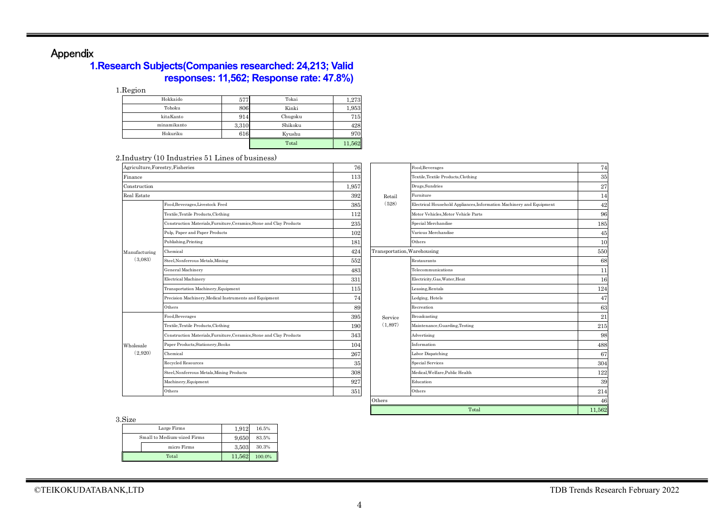# Appendix

#### **1.Research Subjects(Companies researched: 24,213; Valid responses: 11,562; Response rate: 47.8%)**

1.Region

| Hokkaido    | 577   | Tokai   | 1,273  |
|-------------|-------|---------|--------|
| Tohoku      | 806   | Kinki   | 1,953  |
| kitaKanto   | 914   | Chugoku | 715    |
| minamikanto | 3,310 | Shikoku | 428    |
| Hokuriku    | 616   | Kyushu  | 970    |
|             |       | Total   | 11,562 |

#### 2.Industry (10 Industries 51 Lines of business)

| Agriculture, Forestry, Fisheries |                                                                      | 76    |                             | Food, Beverages         |
|----------------------------------|----------------------------------------------------------------------|-------|-----------------------------|-------------------------|
| Finance                          |                                                                      | 113   |                             | Textile, Textile Produ  |
| Construction                     |                                                                      | 1,957 |                             | Drugs, Sundries         |
| Real Estate                      |                                                                      | 392   | Retail                      | Furniture               |
|                                  | Food, Beverages, Livestock Feed                                      | 385   | (528)                       | Electrical Household    |
|                                  | Textile, Textile Products, Clothing                                  | 112   |                             | Motor Vehicles, Moto    |
| Manufacturing<br>(3.083)         | Construction Materials, Furniture, Ceramics, Stone and Clay Products | 235   |                             | Special Merchandise     |
|                                  | Pulp, Paper and Paper Products                                       | 102   |                             | Various Merchandis      |
|                                  | Publishing, Printing                                                 | 181   |                             | Others                  |
|                                  | Chemical                                                             | 424   | Transportation, Warehousing |                         |
|                                  | Steel, Nonferrous Metals, Mining                                     | 552   |                             | Restaurants             |
|                                  | General Machinery                                                    | 483   |                             | Telecommunications      |
|                                  | <b>Electrical Machinery</b>                                          | 331   |                             | Electricity, Gas, Wate  |
|                                  | Transportation Machinery, Equipment                                  | 115   |                             | Leasing, Rentals        |
|                                  | Precision Machinery, Medical Instruments and Equipment               | 74    |                             | Lodging, Hotels         |
|                                  | Others                                                               | 89    |                             | Recreation              |
|                                  | Food, Beverages                                                      | 395   | Service                     | Broadcasting            |
|                                  | Textile, Textile Products, Clothing                                  | 190   | (1,897)                     | Maintenance, Guard      |
|                                  | Construction Materials, Furniture, Ceramics, Stone and Clay Products | 343   |                             | Advertising             |
| Wholesale                        | Paper Products, Stationery, Books                                    | 104   |                             | Information             |
| (2,920)                          | Chemical                                                             | 267   |                             | Labor Dispatching       |
|                                  | <b>Recycled Resources</b>                                            | 35    |                             | <b>Special Services</b> |
|                                  | Steel, Nonferrous Metals, Mining Products                            | 308   |                             | Medical, Welfare, Pul   |
|                                  | Machinery, Equipment                                                 | 927   |                             | Education               |
|                                  | Others                                                               | 351   |                             | Others                  |

| try, Fisheries                                                       | 76    |                             | Food, Beverages                                                      | 74     |
|----------------------------------------------------------------------|-------|-----------------------------|----------------------------------------------------------------------|--------|
|                                                                      | 113   |                             | Textile, Textile Products, Clothing                                  | 35     |
|                                                                      | 1,957 |                             | Drugs, Sundries                                                      | 27     |
|                                                                      | 392   | Retail                      | Furniture                                                            | 14     |
| Food, Beverages, Livestock Feed                                      | 385   | (528)                       | Electrical Household Appliances, Information Machinery and Equipment | 42     |
| Textile, Textile Products, Clothing                                  | 112   |                             | Motor Vehicles, Motor Vehicle Parts                                  | 96     |
| Construction Materials, Furniture, Ceramics, Stone and Clay Products | 235   |                             | Special Merchandise                                                  | 185    |
| Pulp, Paper and Paper Products                                       | 102   |                             | Various Merchandise                                                  | 45     |
| Publishing, Printing                                                 | 181   |                             | Others                                                               | 10     |
| Chemical                                                             | 424   | Transportation, Warehousing |                                                                      | 550    |
| Steel, Nonferrous Metals, Mining                                     | 552   |                             | Restaurants                                                          | 68     |
| General Machinery                                                    | 483   |                             | Telecommunications                                                   | 11     |
| <b>Electrical Machinery</b>                                          | 331   |                             | Electricity, Gas, Water, Heat                                        | 16     |
| Transportation Machinery, Equipment                                  | 115   |                             | Leasing, Rentals                                                     | 124    |
| Precision Machinery, Medical Instruments and Equipment               | 74    |                             | Lodging, Hotels                                                      | 47     |
| Others                                                               | 89    |                             | Recreation                                                           | 63     |
| Food, Beverages                                                      | 395   | Service                     | Broadcasting                                                         | 21     |
| Textile, Textile Products, Clothing                                  | 190   | (1,897)                     | Maintenance, Guarding, Testing                                       | 215    |
| Construction Materials, Furniture, Ceramics, Stone and Clay Products | 343   |                             | Advertising                                                          | 98     |
| Paper Products, Stationery, Books                                    | 104   |                             | Information                                                          | 488    |
| Chemical                                                             | 267   |                             | Labor Dispatching                                                    | 67     |
| Recycled Resources                                                   | 35    |                             | <b>Special Services</b>                                              | 304    |
| Steel, Nonferrous Metals, Mining Products                            | 308   |                             | Medical.Welfare.Public Health                                        | 122    |
| Machinery, Equipment                                                 | 927   |                             | Education                                                            | 39     |
| Others                                                               | 351   |                             | Others                                                               | 214    |
|                                                                      |       | Others                      |                                                                      | 46     |
|                                                                      |       |                             | Total                                                                | 11,562 |

3.Size

| Large Firms                 | 1.912  | 16.5%  |
|-----------------------------|--------|--------|
| Small to Medium-sized Firms | 9.650  | 83.5%  |
| micro Firms                 | 3.503  | 30.3%  |
| Total                       | 11.562 | 100.0% |